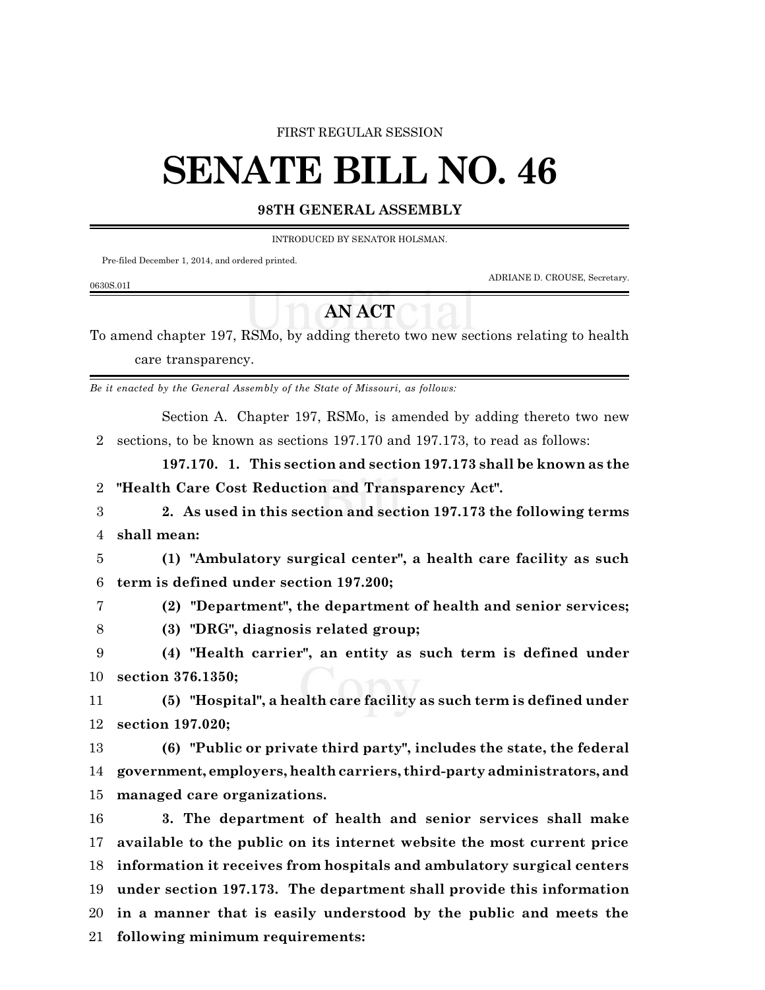#### FIRST REGULAR SESSION

# **SENATE BILL NO. 46**

### **98TH GENERAL ASSEMBLY**

INTRODUCED BY SENATOR HOLSMAN.

Pre-filed December 1, 2014, and ordered printed.

ADRIANE D. CROUSE, Secretary.

#### 0630S.01I

## **AN ACT**

To amend chapter 197, RSMo, by adding thereto two new sections relating to health care transparency.

*Be it enacted by the General Assembly of the State of Missouri, as follows:*

Section A. Chapter 197, RSMo, is amended by adding thereto two new sections, to be known as sections 197.170 and 197.173, to read as follows:

**197.170. 1. This section and section 197.173 shall be known as the "Health Care Cost Reduction and Transparency Act".**

 **2. As used in this section and section 197.173 the following terms shall mean:**

 **(1) "Ambulatory surgical center", a health care facility as such term is defined under section 197.200;**

- **(2) "Department", the department of health and senior services;**
- **(3) "DRG", diagnosis related group;**

 **(4) "Health carrier", an entity as such term is defined under section 376.1350;**

 **(5) "Hospital", a health care facility as such term is defined under section 197.020;**

 **(6) "Public or private third party", includes the state, the federal government, employers, health carriers, third-party administrators, and managed care organizations.**

 **3. The department of health and senior services shall make available to the public on its internet website the most current price information it receives from hospitals and ambulatory surgical centers under section 197.173. The department shall provide this information in a manner that is easily understood by the public and meets the following minimum requirements:**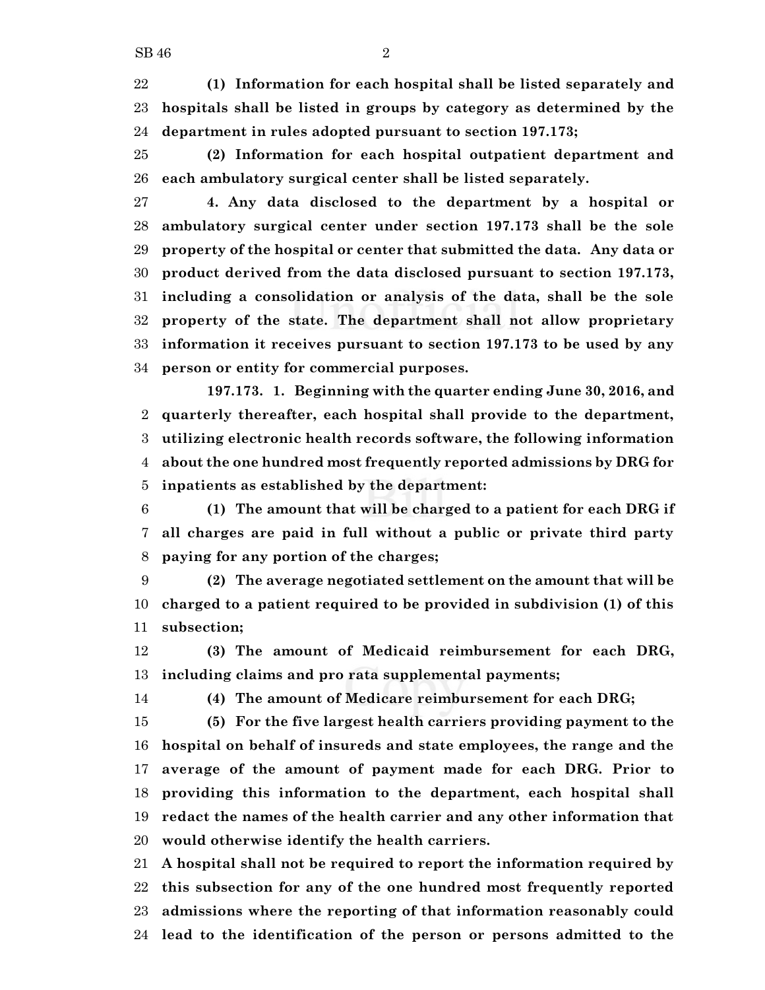**(1) Information for each hospital shall be listed separately and hospitals shall be listed in groups by category as determined by the department in rules adopted pursuant to section 197.173;**

 **(2) Information for each hospital outpatient department and each ambulatory surgical center shall be listed separately.**

 **4. Any data disclosed to the department by a hospital or ambulatory surgical center under section 197.173 shall be the sole property of the hospital or center that submitted the data. Any data or product derived from the data disclosed pursuant to section 197.173, including a consolidation or analysis of the data, shall be the sole property of the state. The department shall not allow proprietary information it receives pursuant to section 197.173 to be used by any person or entity for commercial purposes.**

**197.173. 1. Beginning with the quarter ending June 30, 2016, and quarterly thereafter, each hospital shall provide to the department, utilizing electronic health records software, the following information about the one hundred most frequently reported admissions by DRG for inpatients as established by the department:**

 **(1) The amount that will be charged to a patient for each DRG if all charges are paid in full without a public or private third party paying for any portion of the charges;**

 **(2) The average negotiated settlement on the amount that will be charged to a patient required to be provided in subdivision (1) of this subsection;**

 **(3) The amount of Medicaid reimbursement for each DRG, including claims and pro rata supplemental payments;**

**(4) The amount of Medicare reimbursement for each DRG;**

 **(5) For the five largest health carriers providing payment to the hospital on behalf of insureds and state employees, the range and the average of the amount of payment made for each DRG. Prior to providing this information to the department, each hospital shall redact the names of the health carrier and any other information that would otherwise identify the health carriers.**

 **A hospital shall not be required to report the information required by this subsection for any of the one hundred most frequently reported admissions where the reporting of that information reasonably could lead to the identification of the person or persons admitted to the**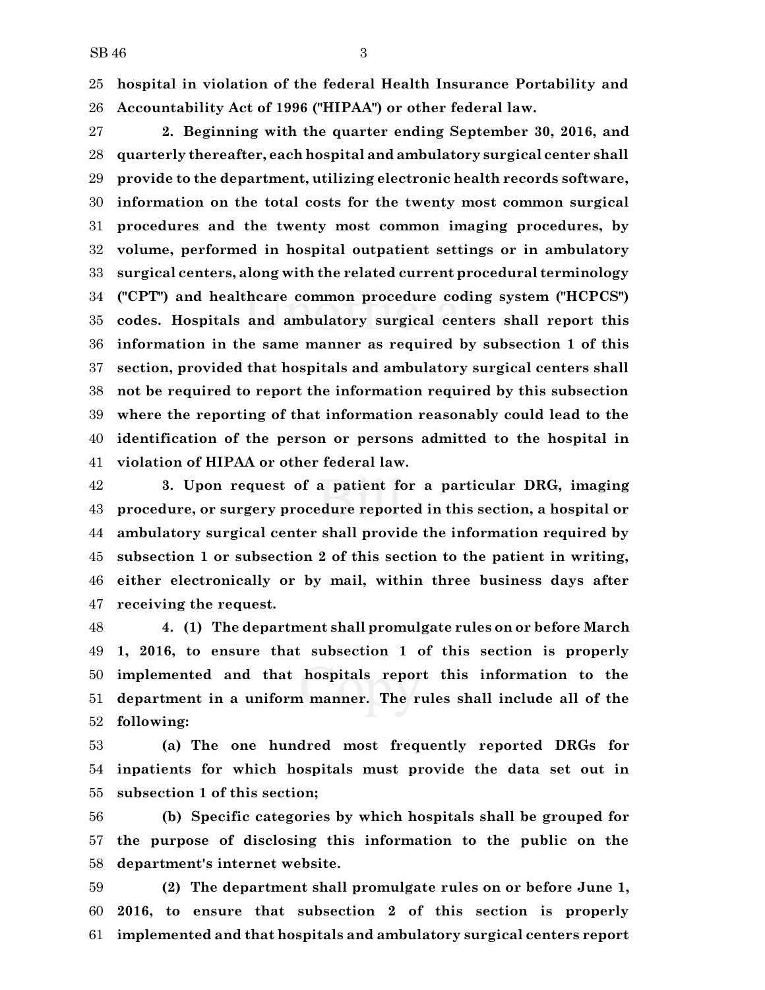**hospital in violation of the federal Health Insurance Portability and Accountability Act of 1996 ("HIPAA") or other federal law.**

 **2. Beginning with the quarter ending September 30, 2016, and quarterly thereafter, each hospital and ambulatory surgical center shall provide to the department, utilizing electronic health records software, information on the total costs for the twenty most common surgical procedures and the twenty most common imaging procedures, by volume, performed in hospital outpatient settings or in ambulatory surgical centers, along with the related current procedural terminology ("CPT") and healthcare common procedure coding system ("HCPCS") codes. Hospitals and ambulatory surgical centers shall report this information in the same manner as required by subsection 1 of this section, provided that hospitals and ambulatory surgical centers shall not be required to report the information required by this subsection where the reporting of that information reasonably could lead to the identification of the person or persons admitted to the hospital in violation of HIPAA or other federal law.**

 **3. Upon request of a patient for a particular DRG, imaging procedure, or surgery procedure reported in this section, a hospital or ambulatory surgical center shall provide the information required by subsection 1 or subsection 2 of this section to the patient in writing, either electronically or by mail, within three business days after receiving the request.**

 **4. (1) The department shall promulgate rules on or before March 1, 2016, to ensure that subsection 1 of this section is properly implemented and that hospitals report this information to the department in a uniform manner. The rules shall include all of the following:**

 **(a) The one hundred most frequently reported DRGs for inpatients for which hospitals must provide the data set out in subsection 1 of this section;**

 **(b) Specific categories by which hospitals shall be grouped for the purpose of disclosing this information to the public on the department's internet website.**

 **(2) The department shall promulgate rules on or before June 1, 2016, to ensure that subsection 2 of this section is properly implemented and that hospitals and ambulatory surgical centers report**